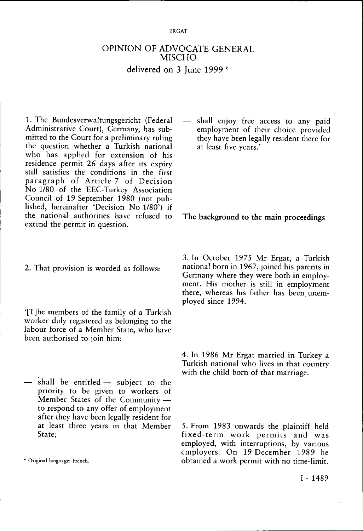## OPINION OF ADVOCATE GENERAL MISCHO delivered on 3 June 1999 \*

1. The Bundesverwaltungsgericht (Federal Administrative Court), Germany, has submitted to the Court for a preliminary ruling the question whether a Turkish national who has applied for extension of his residence permit 26 days after its expiry still satisfies the conditions in the first paragraph of Article 7 of Decision No 1/80 of the EEC-Turkey Association Council of 19 September 1980 (not published, hereinafter 'Decision No 1/80') if the national authorities have refused to extend the permit in question.

2. That provision is worded as follows:

'[T]he members of the family of a Turkish worker duly registered as belonging to the labour force of a Member State, who have been authorised to join him:

— shall be entitled — subject to the priority to be given to workers of Member States of the Community to respond to any offer of employment after they have been legally resident for at least three years in that Member State;

shall enjoy free access to any paid employment of their choice provided they have been legally resident there for at least five years.'

The background to the main proceedings

3. In October 1975 Mr Ergat, a Turkish national born in 1967, joined his parents in Germany where they were both in employment. His mother is still in employment there, whereas his father has been unemployed since 1994.

4. In 1986 Mr Ergat married in Turkey a Turkish national who lives in that country with the child born of that marriage.

5. From 1983 onwards the plaintiff held fixed-term work permits and was employed, with interruptions, by various employers. On 19 December 1989 he \* Original language: French. obtained a work permit with no time-limit.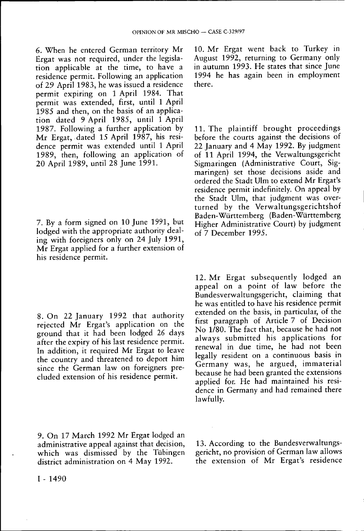6. When he entered German territory Mr Ergat was not required, under the legislation applicable at the time, to have a residence permit. Following an application of 29 April 1983, he was issued a residence permit expiring on 1 April 1984. That permit was extended, first, until 1 April 1985 and then, on the basis of an application dated 9 April 1985, until 1 April 1987. Following a further application by Mr Ergat, dated 15 April 1987, his residence permit was extended until 1 April 1989, then, following an application of 20 April 1989, until 28 June 1991.

7. By a form signed on 10 June 1991, but lodged with the appropriate authority dealing with foreigners only on 24 July 1991, Mr Ergat applied for a further extension of his residence permit.

8. On 22 January 1992 that authority rejected Mr Ergat's application on the ground that it had been lodged 26 days after the expiry of his last residence permit. In addition, it required Mr Ergat to leave the country and threatened to deport him since the German law on foreigners precluded extension of his residence permit.

9. On 17 March 1992 Mr Ergat lodged an administrative appeal against that decision, which was dismissed by the Tübingen district administration on 4 May 1992.

10. Mr Ergat went back to Turkey in August 1992, returning to Germany only in autumn 1993. He states that since June 1994 he has again been in employment there.

11. The plaintiff brought proceedings before the courts against the decisions of 22 January and 4 May 1992. By judgment of 11 April 1994, the Verwaltungsgericht Sigmaringen (Administrative Court, Sigmaringen) set those decisions aside and ordered the Stadt Ulm to extend Mr Ergat's residence permit indefinitely. On appeal by the Stadt Ulm, that judgment was overturned by the Verwaltungsgerichtshof Baden-Württemberg (Baden-Württemberg Higher Administrative Court) by judgment of 7 December 1995.

12. Mr Ergat subsequently lodged an appeal on a point of law before the Bundesverwaltungsgericht, claiming that he was entitled to have his residence permit extended on the basis, in particular, of the first paragraph of Article 7 of Decision No 1/80. The fact that, because he had not always submitted his applications for renewal in due time, he had not been legally resident on a continuous basis in Germany was, he argued, immaterial because he had been granted the extensions applied for. He had maintained his residence in Germany and had remained there lawfully.

13. According to the Bundesverwaltungsgericht, no provision of German law allows the extension of Mr Ergat's residence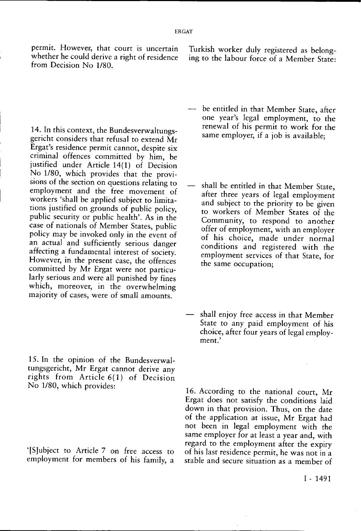permit. However, that court is uncertain whether he could derive a right of residence from Decision No 1/80.

Turkish worker duly registered as belonging to the labour force of a Member State:

14. In this context, the Bundesverwaltungsgericht considers that refusal to extend Mr Ergat's residence permit cannot, despite six criminal offences committed by him, be justified under Article 14(1) of Decision No 1/80, which provides that the provisions of the section on questions relating to employment and the free movement of workers 'shall be applied subject to limitations justified on grounds of public policy, public security or public health'. As in the case of nationals of Member States, public policy may be invoked only in the event of an actual and sufficiently serious danger affecting a fundamental interest of society. However, in the present case, the offences committed by Mr Ergat were not particularly serious and were all punished by fines which, moreover, in the overwhelming majority of cases, were of small amounts.

15. In the opinion of the Bundesverwaltungsgericht, Mr Ergat cannot derive any rights from Article 6(1) of Decision No 1/80, which provides:

'[S]ubject to Article 7 on free access to employment for members of his family, a

- be entitled in that Member State, after one year's legal employment, to the renewal of his permit to work for the same employer, if a job is available;
- shall be entitled in that Member State, after three years of legal employment and subject to the priority to be given to workers of Member States of the Community, to respond to another offer of employment, with an employer of his choice, made under normal conditions and registered with the employment services of that State, for the same occupation;
- shall enjoy free access in that Member State to any paid employment of his choice, after four years of legal employment.'

16. According to the national court, Mr Ergat does not satisfy the conditions laid down in that provision. Thus, on the date of the application at issue, Mr Ergat had not been in legal employment with the same employer for at least a year and, with regard to the employment after the expiry of his last residence permit, he was not in a stable and secure situation as a member of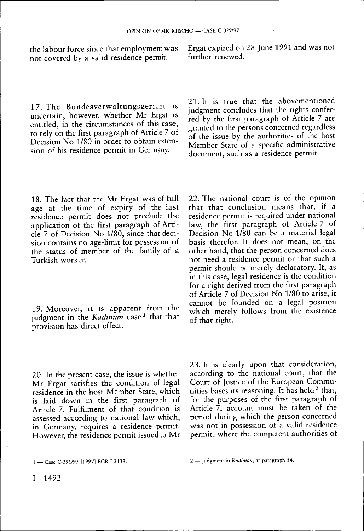the labour force since that employment was not covered by a valid residence permit.

Ergat expired on 28 June 1991 and was not further renewed.

17. The Bundesverwaltungsgericht is uncertain, however, whether Mr Ergat is entitled, in the circumstances of this case, to rely on the first paragraph of Article 7 of Decision No 1/80 in order to obtain extension of his residence permit in Germany.

21. It is true that the abovementioned judgment concludes that the rights conferred by the first paragraph of Article 7 are granted to the persons concerned regardless of the issue by the authorities of the host Member State of a specific administrative document, such as a residence permit.

18. The fact that the Mr Ergat was of full age at the time of expiry of the last residence permit does not preclude the application of the first paragraph of Article 7 of Decision No 1/80, since that decision contains no age-limit for possession of the status of member of the family of a Turkish worker.

19. Moreover, it is apparent from the judgment in the *Kadiman* case <sup>1</sup> that that provision has direct effect.

22. The national court is of the opinion that that conclusion means that, if a residence permit is required under national law, the first paragraph of Article 7 of Decision No 1/80 can be a material legal basis therefor. It does not mean, on the other hand, that the person concerned does not need a residence permit or that such a permit should be merely declaratory. If, as in this case, legal residence is the condition for a right derived from the first paragraph of Article 7 of Decision No 1/80 to arise, it cannot be founded on a legal position which merely follows from the existence of that right.

20. In the present case, the issue is whether Mr Ergat satisfies the condition of legal residence in the host Member State, which is laid down in the first paragraph of Article 7. Fulfilment of that condition is assessed according to national law which, in Germany, requires a residence permit. However, the residence permit issued to Mr 23. It is clearly upon that consideration, according to the national court, that the Court of Justice of the European Communities bases its reasoning. It has held <sup>2</sup> that, for the purposes of the first paragraph of Article 7, account must be taken of the period during which the person concerned was not in possession of a valid residence permit, where the competent authorities of

<sup>1 —</sup> Case C-351/95 [1997] ECR I-2133. 2 — Judgment in *Kadiman,* at paragraph 54.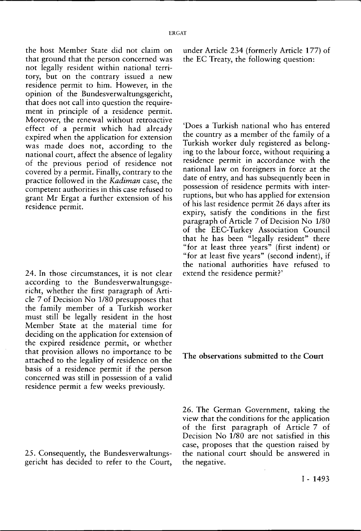the host Member State did not claim on that ground that the person concerned was not legally resident within national territory, but on the contrary issued a new residence permit to him. However, in the opinion of the Bundesverwaltungsgericht, that does not call into question the requirement in principle of a residence permit. Moreover, the renewal without retroactive effect of a permit which had already expired when the application for extension was made does not, according to the national court, affect the absence of legality of the previous period of residence not covered by a permit. Finally, contrary to the practice followed in the *Kadiman* case, the competent authorities in this case refused to grant Mr Ergat a further extension of his residence permit.

24. In those circumstances, it is not clear according to the Bundesverwaltungsgericht, whether the first paragraph of Article 7 of Decision No 1/80 presupposes that the family member of a Turkish worker must still be legally resident in the host Member State at the material time for deciding on the application for extension of the expired residence permit, or whether that provision allows no importance to be attached to the legality of residence on the basis of a residence permit if the person concerned was still in possession of a valid residence permit a few weeks previously.

25. Consequently, the Bundesverwaltungsgericht has decided to refer to the Court, under Article 234 (formerly Article 177) of the EC Treaty, the following question:

'Does a Turkish national who has entered the country as a member of the family of a Turkish worker duly registered as belonging to the labour force, without requiring a residence permit in accordance with the national law on foreigners in force at the date of entry, and has subsequently been in possession of residence permits with interruptions, but who has applied for extension of his last residence permit 26 days after its expiry, satisfy the conditions in the first paragraph of Article 7 of Decision No 1/80 of the EEC-Turkey Association Council that he has been "legally resident" there "for at least three years" (first indent) or "for at least five years" (second indent), if the national authorities have refused to extend the residence permit?'

**The observations submitted to the Court** 

26. The German Government, taking the view that the conditions for the application of the first paragraph of Article 7 of Decision No 1/80 are not satisfied in this case, proposes that the question raised by the national court should be answered in the negative.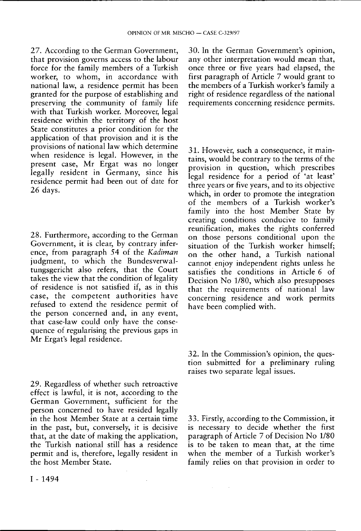27. According to the German Government, that provision governs access to the labour force for the family members of a Turkish worker, to whom, in accordance with national law, a residence permit has been granted for the purpose of establishing and preserving the community of family life with that Turkish worker. Moreover, legal residence within the territory of the host State constitutes a prior condition for the application of that provision and it is the provisions of national law which determine when residence is legal. However, in the present case, Mr Ergat was no longer legally resident in Germany, since his residence permit had been out of date for 26 days.

28. Furthermore, according to the German Government, it is clear, by contrary inference, from paragraph 54 of the *Kadiman*  judgment, to which the Bundesverwaltungsgericht also refers, that the Court takes the view that the condition of legality of residence is not satisfied if, as in this case, the competent authorities have refused to extend the residence permit of the person concerned and, in any event, that case-law could only have the consequence of regularising the previous gaps in Mr Ergat's legal residence.

29. Regardless of whether such retroactive effect is lawful, it is not, according to the German Government, sufficient for the person concerned to have resided legally in the host Member State at a certain time in the past, but, conversely, it is decisive that, at the date of making the application, the Turkish national still has a residence permit and is, therefore, legally resident in the host Member State.

30. In the German Government's opinion, any other interpretation would mean that, once three or five years had elapsed, the first paragraph of Article 7 would grant to the members of a Turkish worker's family a right of residence regardless of the national requirements concerning residence permits.

31. However, such a consequence, it maintains, would be contrary to the terms of the provision in question, which prescribes legal residence for a period of 'at least' three years or five years, and to its objective which, in order to promote the integration of the members of a Turkish worker's family into the host Member State by creating conditions conducive to family reunification, makes the rights conferred on those persons conditional upon the situation of the Turkish worker himself; on the other hand, a Turkish national cannot enjoy independent rights unless he satisfies the conditions in Article 6 of Decision No 1/80, which also presupposes that the requirements of national law concerning residence and work permits have been complied with.

32. In the Commission's opinion, the question submitted for a preliminary ruling raises two separate legal issues.

33. Firstly, according to the Commission, it is necessary to decide whether the first paragraph of Article 7 of Decision No 1/80 is to be taken to mean that, at the time when the member of a Turkish worker's family relies on that provision in order to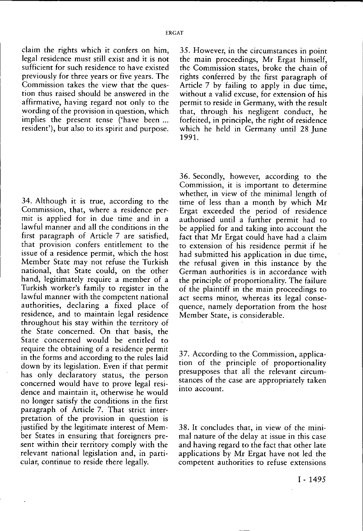claim the rights which it confers on him, legal residence must still exist and it is not sufficient for such residence to have existed previously for three years or five years. The Commission takes the view that the question thus raised should be answered in the affirmative, having regard not only to the wording of the provision in question, which implies the present tense ('have been ... resident'), but also to its spirit and purpose.

34. Although it is true, according to the Commission, that, where a residence permit is applied for in due time and in a lawful manner and all the conditions in the first paragraph of Article 7 are satisfied, that provision confers entitlement to the issue of a residence permit, which the host Member State may not refuse the Turkish national, that State could, on the other hand, legitimately require a member of a Turkish worker's family to register in the lawful manner with the competent national authorities, declaring a fixed place of residence, and to maintain legal residence throughout his stay within the territory of the State concerned. On that basis, the State concerned would be entitled to require the obtaining of a residence permit in the forms and according to the rules laid down by its legislation. Even if that permit has only declaratory status, the person concerned would have to prove legal residence and maintain it, otherwise he would no longer satisfy the conditions in the first paragraph of Article 7. That strict interpretation of the provision in question is justified by the legitimate interest of Member States in ensuring that foreigners present within their territory comply with the relevant national legislation and, in particular, continue to reside there legally.

35. However, in the circumstances in point the main proceedings, Mr Ergat himself, the Commission states, broke the chain of rights conferred by the first paragraph of Article 7 by failing to apply in due time, without a valid excuse, for extension of his permit to reside in Germany, with the result that, through his negligent conduct, he forfeited, in principle, the right of residence which he held in Germany until 28 June 1991.

36. Secondly, however, according to the Commission, it is important to determine whether, in view of the minimal length of time of less than a month by which Mr Ergat exceeded the period of residence authorised until a further permit had to be applied for and taking into account the fact that Mr Ergat could have had a claim to extension of his residence permit if he had submitted his application in due time, the refusal given in this instance by the German authorities is in accordance with the principle of proportionality. The failure of the plaintiff in the main proceedings to act seems minor, whereas its legal consequence, namely deportation from the host Member State, is considerable.

37. According to the Commission, application of the principle of proportionality presupposes that all the relevant circumstances of the case are appropriately taken into account.

38. It concludes that, in view of the minimal nature of the delay at issue in this case and having regard to the fact that other late applications by Mr Ergat have not led the competent authorities to refuse extensions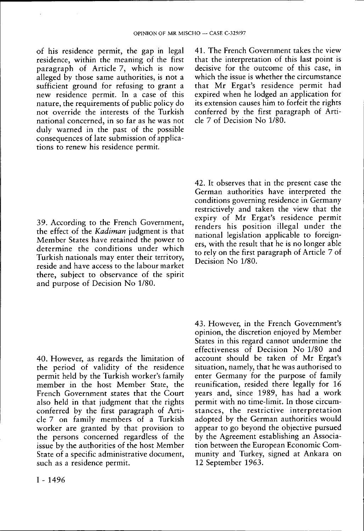of his residence permit, the gap in legal residence, within the meaning of the first paragraph of Article 7, which is now alleged by those same authorities, is not a sufficient ground for refusing to grant a new residence permit. In a case of this nature, the requirements of public policy do not override the interests of the Turkish national concerned, in so far as he was not duly warned in the past of the possible consequences of late submission of applications to renew his residence permit.

39. According to the French Government, the effect of the *Kadiman* judgment is that Member States have retained the power to determine the conditions under which Turkish nationals may enter their territory, reside and have access to the labour market there, subject to observance of the spirit and purpose of Decision No 1/80.

40. However, as regards the limitation of the period of validity of the residence permit held by the Turkish worker's family member in the host Member State, the French Government states that the Court also held in that judgment that the rights conferred by the first paragraph of Article 7 on family members of a Turkish worker are granted by that provision to the persons concerned regardless of the issue by the authorities of the host Member State of a specific administrative document, such as a residence permit.

41. The French Government takes the view that the interpretation of this last point is decisive for the outcome of this case, in which the issue is whether the circumstance that Mr Ergat's residence permit had expired when he lodged an application for its extension causes him to forfeit the rights conferred by the first paragraph of Article 7 of Decision No 1/80.

42. It observes that in the present case the German authorities have interpreted the conditions governing residence in Germany restrictively and taken the view that the expiry of Mr Ergat's residence permit renders his position illegal under the national legislation applicable to foreigners, with the result that he is no longer able to rely on the first paragraph of Article 7 of Decision No 1/80.

43. However, in the French Government's opinion, the discretion enjoyed by Member States in this regard cannot undermine the effectiveness of Decision No 1/80 and account should be taken of Mr Ergat's situation, namely, that he was authorised to enter Germany for the purpose of family reunification, resided there legally for 16 years and, since 1989, has had a work permit with no time-limit. In those circumstances, the restrictive interpretation adopted by the German authorities would appear to go beyond the objective pursued by the Agreement establishing an Association between the European Economic Community and Turkey, signed at Ankara on 12 September 1963.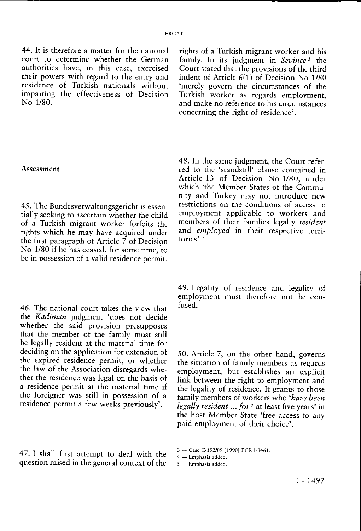44. It is therefore a matter for the national court to determine whether the German authorities have, in this case, exercised their powers with regard to the entry ano residence of Turkish nationals without impairing the effectiveness of Decision No 1/80.

## Assessment

45. The Bundesverwaltungsgericht is essentially seeking to ascertain whether the child of a Turkish migrant worker forfeits the rights which he may have acquired under the first paragraph of Article 7 of Decision No 1/80 if he has ceased, for some time, to be in possession of a valid residence permit.

46. The national court takes the view that the *Kadiman* judgment 'does not decide whether the said provision presupposes that the member of the family must still be legally resident at the material time for deciding on the application for extension of the expired residence permit, or whether the law of the Association disregards whether the residence was legal on the basis of a residence permit at the material time if the foreigner was still in possession of a residence permit a few weeks previously'.

47. I shall first attempt to deal with the question raised in the general context of the

rights of a Turkish migrant worker and his family. In its judgment in *Sevince 3* the Court stated that the provisions of the third indent of Article 6(1) of Decision No 1/80 'merely govern the circumstances of the Turkish worker as regards employment, and make no reference to his circumstances concerning the right of residence'.

48. In the same judgment, the Court referred to the 'standstill' clause contained in Article 13 of Decision No 1/80, under which 'the Member States of the Community and Turkey may not introduce new restrictions on the conditions of access to employment applicable to workers and members of their families legally *resident*  and *employed* in their respective territories'. 4

49. Legality of residence and legality of employment must therefore not be confused.

50. Article 7, on the other hand, governs the situation of family members as regards employment, but establishes an explicit link between the right to employment and the legality of residence. It grants to those family members of workers who *'have been legally resident... for 5* at least five years' in the host Member State 'free access to any paid employment of their choice'.

3 — Case C-192/89 [1990] ECR I-3461.

4 — Emphasis added.

5 — Emphasis added.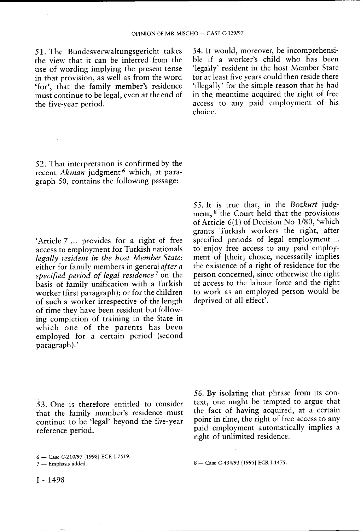51. The Bundesverwaltungsgericht takes the view that it can be inferred from the use of wording implying the present tense in that provision, as well as from the word 'for', that the family member's residence must continue to be legal, even at the end of the five-year period.

54. It would, moreover, be incomprehensible if a worker's child who has been 'legally' resident in the host Member State for at least five years could then reside there 'illegally' for the simple reason that he had in the meantime acquired the right of free access to any paid employment of his choice.

52. That interpretation is confirmed by the recent *Akman* judgment 6 which, at paragraph 50, contains the following passage:

'Article 7 ... provides for a right of free access to employment for Turkish nationals *legally resident in the host Member State:*  either for family members in general *after a specified period of legal residence*<sup>7</sup> on the basis of family unification with a Turkish worker (first paragraph); or for the children of such a worker irrespective of the length of time they have been resident but following completion of training in the State in which one of the parents has been employed for a certain period (second paragraph).'

55. It is true that, in the *Bozkurt* judgment, <sup>8</sup> the Court held that the provisions of Article 6(1) of Decision No 1/80, 'which grants Turkish workers the right, after specified periods of legal employment ... to enjoy free access to any paid employment of [their] choice, necessarily implies the existence of a right of residence for the person concerned, since otherwise the right of access to the labour force and the right to work as an employed person would be deprived of all effect'.

53. One is therefore entitled to consider that the family member's residence must continue to be 'legal' beyond the five-year reference period.

6 — Case C-210/97 [1998] ECR I-7519.

56. By isolating that phrase from its context, one might be tempted to argue that the fact of having acquired, at a certain point in time, the right of free access to any paid employment automatically implies a right of unlimited residence.

8 — Case C-434/93 [1995] ECR I-1475.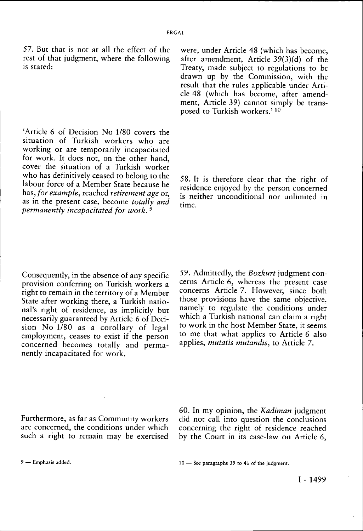57. But that is not at all the effect of the rest of that judgment, where the following is stated:

'Article 6 of Decision No 1/80 covers the situation of Turkish workers who are working or are temporarily incapacitated for work. It does not, on the other hand, cover the situation of a Turkish worker who has definitively ceased to belong to the labour force of a Member State because he has, *for example,* reached *retirement age* or, as in the present case, become *totally and permanently incapacitated for work.<sup>9</sup>*

were, under Article 48 (which has become, after amendment, Article 39(3)(d) of the Treaty, made subject to regulations to be drawn up by the Commission, with the result that the rules applicable under Article 48 (which has become, after amendment, Article 39) cannot simply be transposed to Turkish workers.' 10

58. It is therefore clear that the right of residence enjoyed by the person concerned is neither unconditional nor unlimited in time.

Consequently, in the absence of any specific provision conferring on Turkish workers a right to remain in the territory of a Member State after working there, a Turkish national's right of residence, as implicitly but necessarily guaranteed by Article 6 of Decision No 1/80 as a corollary of legal employment, ceases to exist if the person concerned becomes totally and permanently incapacitated for work.

59. Admittedly, the *Bozkurt* judgment concerns Article 6, whereas the present case concerns Article 7. However, since both those provisions have the same objective, namely to regulate the conditions under which a Turkish national can claim a right to work in the host Member State, it seems to me that what applies to Article 6 also applies, *mutatis mutandis,* to Article 7.

Furthermore, as far as Community workers are concerned, the conditions under which such a right to remain may be exercised 60. In my opinion, the *Kadiman* judgment did not call into question the conclusions concerning the right of residence reached by the Court in its case-law on Article 6,

9 — Emphasis added. 10 — See paragraphs 39 ro 41 of the judgment.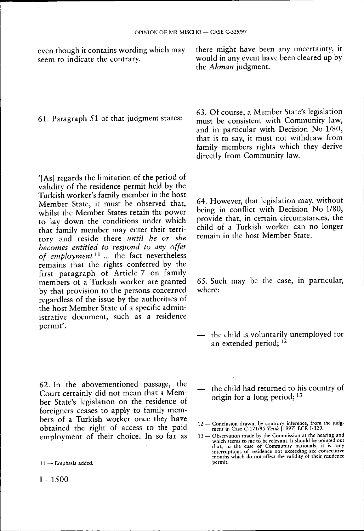even though it contains wording which may seem to indicate the contrary.

61. Paragraph 51 of that judgment states:

'[As] regards the limitation of the period of validity of the residence permit held by the Turkish worker's family member in the host Member State, it must be observed that, whilst the Member States retain the power to lay down the conditions under which that family member may enter their territory and reside there *until he or she becomes entitled to respond to any offer of employment<sup>11</sup> ...* the fact nevertheless remains that the rights conferred by the first paragraph of Article 7 on family members of a Turkish worker are granted by that provision to the persons concerned regardless of the issue by the authorities of the host Member State of a specific administrative document, such as a residence permit'.

62. In the abovementioned passage, the Court certainly did not mean that a Member State's legislation on the residence of foreigners ceases to apply to family members of a Turkish worker once they have obtained the right of access to the paid employment of their choice. In so far as

I - 1500

there might have been any uncertainty, it would in any event have been cleared up by the *Akman* judgment.

63. Of course, a Member State's legislation must be consistent with Community law, and in particular with Decision No 1/80, that is to say, it must not withdraw from family members rights which they derive directly from Community law.

64. However, that legislation may, without being in conflict with Decision No 1/80, provide that, in certain circumstances, the child of a Turkish worker can no longer remain in the host Member State.

65. Such may be the case, in particular, where:

- the child is voluntarily unemployed for an extended period; <sup>12</sup>
- the child had returned to his country of origin for a long period; 13
- 12 Conclusion drawn, by contrary inference, from the judg-ment in Case C-171/95 *Tetik* [1997] ECR I-329.
- 13 Observation made by the Commission at the hearing and which seems to me to be relevant. It should be pointed out that, in the case of Community nationals, it is only interruptions of residence not exceeding six consecutive months which do not affect the validity of their residence permit.

<sup>11 —</sup> Emphasis added.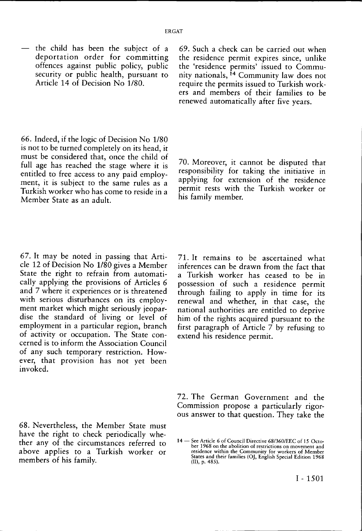— the child has been the subject of a deportation order for committing offences against public policy, public security or public health, pursuant to Article 14 of Decision No 1/80.

*66.* Indeed, if the logic of Decision No 1/80 is not to be turned completely on its head, it must be considered that, once the child of full age has reached the stage where it is entitled to free access to any paid employment, it is subject to the same rules as a Turkish worker who has come to reside in a Member State as an adult.

67. It may be noted in passing that Article 12 of Decision No 1/80 gives a Member State the right to refrain from automatically applying the provisions of Articles 6 and 7 where it experiences or is threatened with serious disturbances on its employment market which might seriously jeopardise the standard of living or level of employment in a particular region, branch of activity or occupation. The State concerned is to inform the Association Council of any such temporary restriction. However, that provision has not yet been invoked.

68. Nevertheless, the Member State must have the right to check periodically whether any of the circumstances referred to above applies to a Turkish worker or members of his family.

69. Such a check can be carried out when the residence permit expires since, unlike the 'residence permits' issued to Community nationals, <sup>14</sup> Community law does not require the permits issued to Turkish workers and members of their families to be renewed automatically after five years.

70. Moreover, it cannot be disputed that responsibility for taking the initiative in applying for extension of the residence permit rests with the Turkish worker or his family member.

71. It remains to be ascertained what inferences can be drawn from the fact that a Turkish worker has ceased to be in possession of such a residence permit through failing to apply in time for its renewal and whether, in that case, the national authorities are entitled to deprive him of the rights acquired pursuant to the first paragraph of Article 7 by refusing to extend his residence permit.

72. The German Government and the Commission propose a particularly rigorous answer to that question. They take the

<sup>14 —</sup> See Article 6 of Council Directive 68/360/EEC of 15 October 1968 on the abolition of restrictions on movement and residence within the Community for workers of Member States and their families (OJ, English Special Edition 1968 (II), p. 485).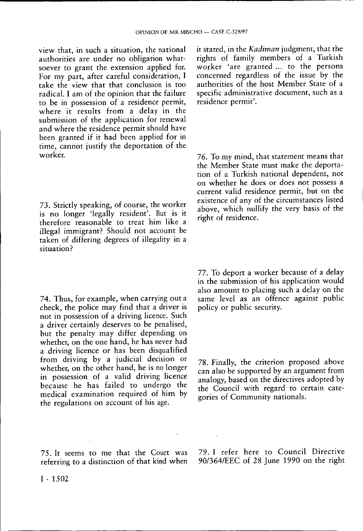view that, in such a situation, the national authorities are under no obligation whatsoever to grant the extension applied for. For my part, after careful consideration, I take the view that that conclusion is too radical. I am of the opinion that the failure to be in possession of a residence permit, where it results from a delay in the submission of the application for renewal and where the residence permit should have been granted if it had been applied for in time, cannot justify the deportation of the worker.

73. Strictly speaking, of course, the worker is no longer 'legally resident'. But is it therefore reasonable to treat him like a illegal immigrant? Should not account be taken of differing degrees of illegality in a situation?

74. Thus, for example, when carrying out a check, the police may find that a driver is not in possession of a driving licence. Such a driver certainly deserves to be penalised, but the penalty may differ depending on whether, on the one hand, he has never had a driving licence or has been disqualified from driving by a judicial decision or whether, on the other hand, he is no longer in possession of a valid driving licence because he has failed to undergo the medical examination required of him by the regulations on account of his age.

75. It seems to me that the Court was referring to a distinction of that kind when

it stated, in the *Kadiman* judgment, that the rights of family members of a Turkish worker 'are granted ... to the persons concerned regardless of the issue by the authorities of the host Member State of a specific administrative document, such as a residence permit'.

76. To my mind, that statement means that the Member State must make the deportation of a Turkish national dependent, not on whether he does or does not possess a current valid residence permit, but on the existence of any of the circumstances listed above, which nullify the very basis of the right of residence.

77. To deport a worker because of a delay in the submission of his application would also amount to placing such a delay on the same level as an offence against public policy or public security.

78. Finally, the criterion proposed above can also be supported by an argument from analogy, based on the directives adopted by the Council with regard to certain categories of Community nationals.

79. I refer here to Council Directive 90/364/EEC of 28 June 1990 on the right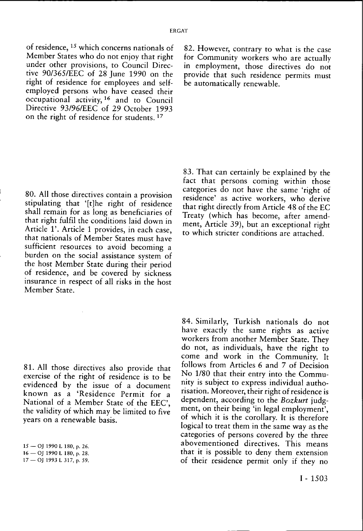of residence, <sup>15</sup> which concerns nationals of Member States who do not enjoy that right under other provisions, to Council Directive 90/365/EEC of 28 June 1990 on the right of residence for employees and selfemployed persons who have ceased their occupational activity, <sup>16</sup> and to Council Directive 93/96/EEC of 29 October 1993 on the right of residence for students.<sup>17</sup>

80. All those directives contain a provision stipulating that '[t]he right of residence shall remain for as long as beneficiaries of that right fulfil the conditions laid down in Article 1'. Article 1 provides, in each case, that nationals of Member States must have sufficient resources to avoid becoming a burden on the social assistance system of the host Member State during their period of residence, and be covered by sickness insurance in respect of all risks in the host Member State.

81. All those directives also provide that exercise of the right of residence is to be evidenced by the issue of a document known as a 'Residence Permit for a National of a Member State of the EEC', the validity of which may be limited to five years on a renewable basis.

15 — OJ 1990 L 180, p. 26. 16 — OJ 1990 L 180, p. 28. 17 — OJ 1993 L 317, p. 59. 82. However, contrary to what is the case for Community workers who are actually in employment, those directives do not provide that such residence permits must be automatically renewable.

83. That can certainly be explained by the fact that persons coming within those categories do not have the same 'right of residence' as active workers, who derive that right directly from Article 48 of the EC Treaty (which has become, after amendment, Article 39), but an exceptional right to which stricter conditions are attached.

84. Similarly, Turkish nationals do not have exactly the same rights as active workers from another Member State. They do not, as individuals, have the right to come and work in the Community. It follows from Articles 6 and 7 of Decision No 1/80 that their entry into the Community is subject to express individual authorisation. Moreover, their right of residence is dependent, according to the *Bozkurt* judgment, on their being 'in legal employment', of which it is the corollary. It is therefore logical to treat them in the same way as the categories of persons covered by the three abovementioned directives. This means that it is possible to deny them extension of their residence permit only if they no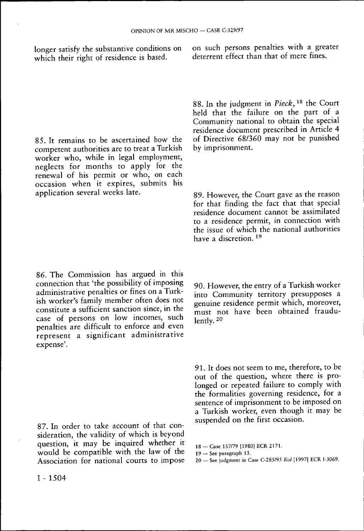longer satisfy the substantive conditions on which their right of residence is based.

on such persons penalties with a greater deterrent effect than that of mere fines.

85. It remains to be ascertained how the competent authorities are to treat a Turkish worker who, while in legal employment, neglects for months to apply for the renewal of his permit or who, on each occasion when it expires, submits his application several weeks late.

86. The Commission has argued in this connection that 'the possibility of imposing administrative penalties or fines on a Turkish worker's family member often does not constitute a sufficient sanction since, in the case of persons on low incomes, such penalties are difficult to enforce and even represent a significant administrative expense'.

87. In order to take account of that consideration, the validity of which is beyond question, it may be inquired whether it would be compatible with the law of the Association for national courts to impose 88. In the judgment in *Pieck,<sup>18</sup>* the Court held that the failure on the part of a Community national to obtain the special residence document prescribed in Article 4 of Directive 68/360 may not be punished by imprisonment.

89. However, the Court gave as the reason for that finding the fact that that special residence document cannot be assimilated to a residence permit, in connection with the issue of which the national authorities have a discretion. 19

90. However, the entry of a Turkish worker into Community territory presupposes a genuine residence permit which, moreover, must not have been obtained fraudulently. 20

91. It does not seem to me, therefore, to be out of the question, where there is prolonged or repeated failure to comply with the formalities governing residence, for a sentence of imprisonment to be imposed on a Turkish worker, even though it may be suspended on the first occasion.

18 — Case 157/79 [1980] ECR 2171.

<sup>19 —</sup> See paragraph 13.

<sup>20 —</sup> See judgment in Case C-285/95 *Kol* [1997] ECR I-3069.